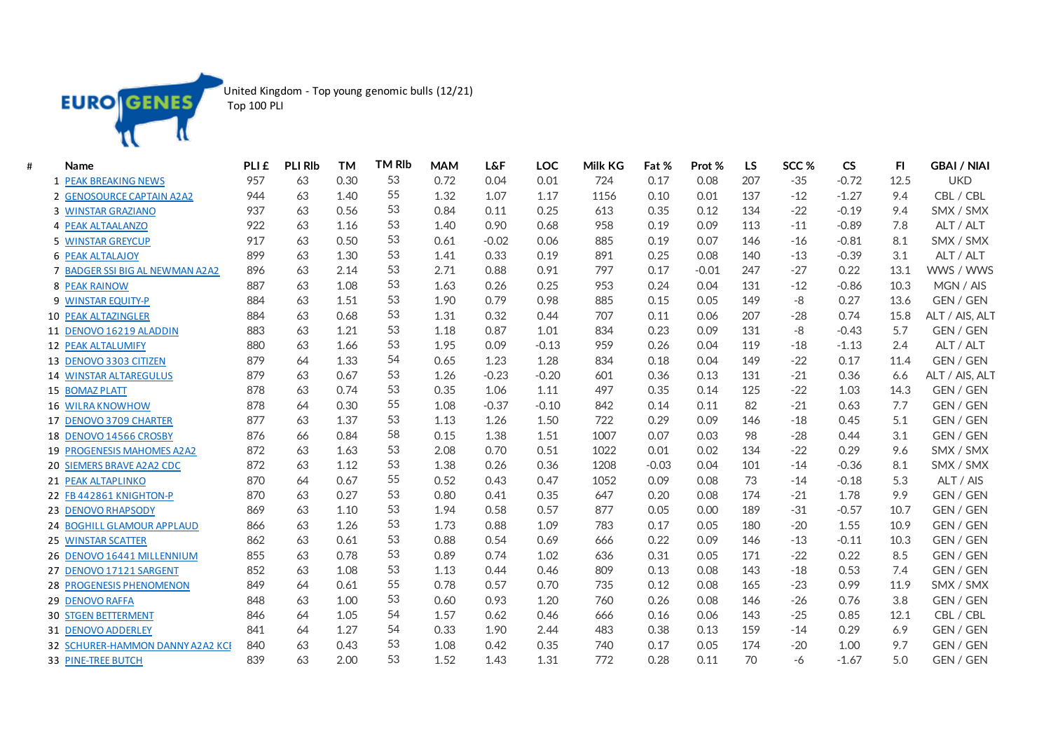

United Kingdom - Top young genomic bulls (12/21)

| Top 100 PLI |  |  |
|-------------|--|--|
|-------------|--|--|

| # | Name                              | PLI <sub>£</sub> | <b>PLI RIb</b> | <b>TM</b> | <b>TM RIb</b> | <b>MAM</b> | <b>L&amp;F</b> | LOC     | Milk KG | Fat %   | Prot %  | <b>LS</b> | SCC % | <b>CS</b> | FI.  | <b>GBAI / NIAI</b> |
|---|-----------------------------------|------------------|----------------|-----------|---------------|------------|----------------|---------|---------|---------|---------|-----------|-------|-----------|------|--------------------|
|   | 1 PEAK BREAKING NEWS              | 957              | 63             | 0.30      | 53            | 0.72       | 0.04           | 0.01    | 724     | 0.17    | 0.08    | 207       | $-35$ | $-0.72$   | 12.5 | <b>UKD</b>         |
|   | 2 GENOSOURCE CAPTAIN A2A2         | 944              | 63             | 1.40      | 55            | 1.32       | 1.07           | 1.17    | 1156    | 0.10    | 0.01    | 137       | $-12$ | $-1.27$   | 9.4  | CBL / CBL          |
|   | 3 WINSTAR GRAZIANO                | 937              | 63             | 0.56      | 53            | 0.84       | 0.11           | 0.25    | 613     | 0.35    | 0.12    | 134       | $-22$ | $-0.19$   | 9.4  | SMX / SMX          |
|   | <b>4 PEAK ALTAALANZO</b>          | 922              | 63             | 1.16      | 53            | 1.40       | 0.90           | 0.68    | 958     | 0.19    | 0.09    | 113       | $-11$ | $-0.89$   | 7.8  | ALT / ALT          |
|   | <b>5 WINSTAR GREYCUP</b>          | 917              | 63             | 0.50      | 53            | 0.61       | $-0.02$        | 0.06    | 885     | 0.19    | 0.07    | 146       | $-16$ | $-0.81$   | 8.1  | SMX / SMX          |
|   | <b>6 PEAK ALTALAJOY</b>           | 899              | 63             | 1.30      | 53            | 1.41       | 0.33           | 0.19    | 891     | 0.25    | 0.08    | 140       | $-13$ | $-0.39$   | 3.1  | ALT / ALT          |
|   | 7 BADGER SSI BIG AL NEWMAN A2A2   | 896              | 63             | 2.14      | 53            | 2.71       | 0.88           | 0.91    | 797     | 0.17    | $-0.01$ | 247       | $-27$ | 0.22      | 13.1 | WWS / WWS          |
|   | <b>8 PEAK RAINOW</b>              | 887              | 63             | 1.08      | 53            | 1.63       | 0.26           | 0.25    | 953     | 0.24    | 0.04    | 131       | $-12$ | $-0.86$   | 10.3 | MGN / AIS          |
|   | 9 WINSTAR EQUITY-P                | 884              | 63             | 1.51      | 53            | 1.90       | 0.79           | 0.98    | 885     | 0.15    | 0.05    | 149       | -8    | 0.27      | 13.6 | GEN / GEN          |
|   | <b>10 PEAK ALTAZINGLER</b>        | 884              | 63             | 0.68      | 53            | 1.31       | 0.32           | 0.44    | 707     | 0.11    | 0.06    | 207       | $-28$ | 0.74      | 15.8 | ALT / AIS, ALT     |
|   | 11 DENOVO 16219 ALADDIN           | 883              | 63             | 1.21      | 53            | 1.18       | 0.87           | 1.01    | 834     | 0.23    | 0.09    | 131       | -8    | $-0.43$   | 5.7  | GEN / GEN          |
|   | 12 PEAK ALTALUMIFY                | 880              | 63             | 1.66      | 53            | 1.95       | 0.09           | $-0.13$ | 959     | 0.26    | 0.04    | 119       | $-18$ | $-1.13$   | 2.4  | ALT / ALT          |
|   | 13 DENOVO 3303 CITIZEN            | 879              | 64             | 1.33      | 54            | 0.65       | 1.23           | 1.28    | 834     | 0.18    | 0.04    | 149       | $-22$ | 0.17      | 11.4 | GEN / GEN          |
|   | <b>14 WINSTAR ALTAREGULUS</b>     | 879              | 63             | 0.67      | 53            | 1.26       | $-0.23$        | $-0.20$ | 601     | 0.36    | 0.13    | 131       | $-21$ | 0.36      | 6.6  | ALT / AIS, ALT     |
|   | 15 BOMAZ PLATT                    | 878              | 63             | 0.74      | 53            | 0.35       | 1.06           | 1.11    | 497     | 0.35    | 0.14    | 125       | $-22$ | 1.03      | 14.3 | GEN / GEN          |
|   | <b>16 WILRA KNOWHOW</b>           | 878              | 64             | 0.30      | 55            | 1.08       | $-0.37$        | $-0.10$ | 842     | 0.14    | 0.11    | 82        | $-21$ | 0.63      | 7.7  | GEN / GEN          |
|   | 17 DENOVO 3709 CHARTER            | 877              | 63             | 1.37      | 53            | 1.13       | 1.26           | 1.50    | 722     | 0.29    | 0.09    | 146       | $-18$ | 0.45      | 5.1  | GEN / GEN          |
|   | 18 DENOVO 14566 CROSBY            | 876              | 66             | 0.84      | 58            | 0.15       | 1.38           | 1.51    | 1007    | 0.07    | 0.03    | 98        | $-28$ | 0.44      | 3.1  | GEN / GEN          |
|   | <b>19 PROGENESIS MAHOMES A2A2</b> | 872              | 63             | 1.63      | 53            | 2.08       | 0.70           | 0.51    | 1022    | 0.01    | 0.02    | 134       | $-22$ | 0.29      | 9.6  | SMX / SMX          |
|   | <b>20 SIEMERS BRAVE A2A2 CDC</b>  | 872              | 63             | 1.12      | 53            | 1.38       | 0.26           | 0.36    | 1208    | $-0.03$ | 0.04    | 101       | $-14$ | $-0.36$   | 8.1  | SMX / SMX          |
|   | 21 PEAK ALTAPLINKO                | 870              | 64             | 0.67      | 55            | 0.52       | 0.43           | 0.47    | 1052    | 0.09    | 0.08    | 73        | $-14$ | $-0.18$   | 5.3  | ALT / AIS          |
|   | 22 FB 442861 KNIGHTON-P           | 870              | 63             | 0.27      | 53            | 0.80       | 0.41           | 0.35    | 647     | 0.20    | 0.08    | 174       | $-21$ | 1.78      | 9.9  | GEN / GEN          |
|   | 23 DENOVO RHAPSODY                | 869              | 63             | 1.10      | 53            | 1.94       | 0.58           | 0.57    | 877     | 0.05    | 0.00    | 189       | $-31$ | $-0.57$   | 10.7 | GEN / GEN          |
|   | 24 BOGHILL GLAMOUR APPLAUD        | 866              | 63             | 1.26      | 53            | 1.73       | 0.88           | 1.09    | 783     | 0.17    | 0.05    | 180       | $-20$ | 1.55      | 10.9 | GEN / GEN          |
|   | 25 WINSTAR SCATTER                | 862              | 63             | 0.61      | 53            | 0.88       | 0.54           | 0.69    | 666     | 0.22    | 0.09    | 146       | $-13$ | $-0.11$   | 10.3 | GEN / GEN          |
|   | 26 DENOVO 16441 MILLENNIUM        | 855              | 63             | 0.78      | 53            | 0.89       | 0.74           | 1.02    | 636     | 0.31    | 0.05    | 171       | $-22$ | 0.22      | 8.5  | GEN / GEN          |
|   | 27 DENOVO 17121 SARGENT           | 852              | 63             | 1.08      | 53            | 1.13       | 0.44           | 0.46    | 809     | 0.13    | 0.08    | 143       | $-18$ | 0.53      | 7.4  | GEN / GEN          |
|   | <b>28 PROGENESIS PHENOMENON</b>   | 849              | 64             | 0.61      | 55            | 0.78       | 0.57           | 0.70    | 735     | 0.12    | 0.08    | 165       | $-23$ | 0.99      | 11.9 | SMX / SMX          |
|   | 29 DENOVO RAFFA                   | 848              | 63             | 1.00      | 53            | 0.60       | 0.93           | 1.20    | 760     | 0.26    | 0.08    | 146       | $-26$ | 0.76      | 3.8  | GEN / GEN          |
|   | <b>30 STGEN BETTERMENT</b>        | 846              | 64             | 1.05      | 54            | 1.57       | 0.62           | 0.46    | 666     | 0.16    | 0.06    | 143       | $-25$ | 0.85      | 12.1 | CBL / CBL          |
|   | 31 DENOVO ADDERLEY                | 841              | 64             | 1.27      | 54            | 0.33       | 1.90           | 2.44    | 483     | 0.38    | 0.13    | 159       | $-14$ | 0.29      | 6.9  | GEN / GEN          |
|   | 32 SCHURER-HAMMON DANNY A2A2 KCI  | 840              | 63             | 0.43      | 53            | 1.08       | 0.42           | 0.35    | 740     | 0.17    | 0.05    | 174       | $-20$ | 1.00      | 9.7  | GEN / GEN          |
|   | <b>33 PINE-TREE BUTCH</b>         | 839              | 63             | 2.00      | 53            | 1.52       | 1.43           | 1.31    | 772     | 0.28    | 0.11    | 70        | $-6$  | $-1.67$   | 5.0  | GEN / GEN          |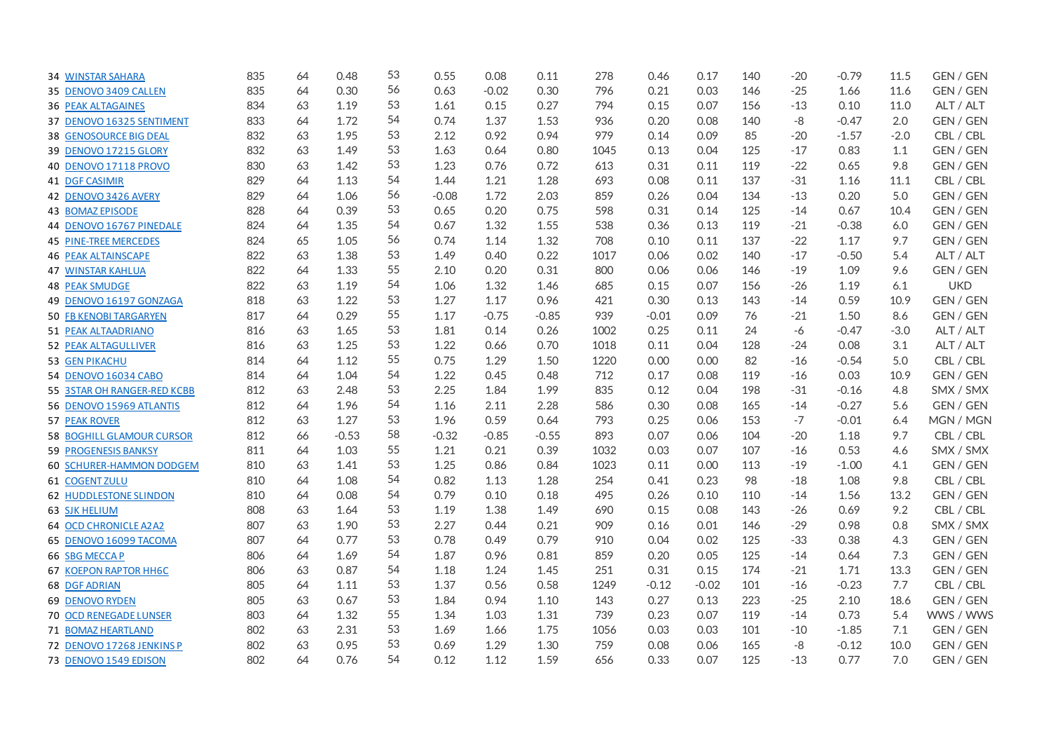| <b>34 WINSTAR SAHARA</b>         | 835 | 64 | 0.48    | 53 | 0.55    | 0.08    | 0.11    | 278  | 0.46    | 0.17    | 140 | $-20$ | $-0.79$ | 11.5   | GEN / GEN        |
|----------------------------------|-----|----|---------|----|---------|---------|---------|------|---------|---------|-----|-------|---------|--------|------------------|
| 35 DENOVO 3409 CALLEN            | 835 | 64 | 0.30    | 56 | 0.63    | $-0.02$ | 0.30    | 796  | 0.21    | 0.03    | 146 | $-25$ | 1.66    | 11.6   | GEN / GEN        |
| <b>36 PEAK ALTAGAINES</b>        | 834 | 63 | 1.19    | 53 | 1.61    | 0.15    | 0.27    | 794  | 0.15    | 0.07    | 156 | $-13$ | 0.10    | 11.0   | ALT / ALT        |
| 37 DENOVO 16325 SENTIMENT        | 833 | 64 | 1.72    | 54 | 0.74    | 1.37    | 1.53    | 936  | 0.20    | 0.08    | 140 | $-8$  | $-0.47$ | 2.0    | GEN / GEN        |
| <b>38 GENOSOURCE BIG DEAL</b>    | 832 | 63 | 1.95    | 53 | 2.12    | 0.92    | 0.94    | 979  | 0.14    | 0.09    | 85  | $-20$ | $-1.57$ | $-2.0$ | CBL / CBL        |
| 39 DENOVO 17215 GLORY            | 832 | 63 | 1.49    | 53 | 1.63    | 0.64    | 0.80    | 1045 | 0.13    | 0.04    | 125 | $-17$ | 0.83    | 1.1    | GEN / GEN        |
| 40 DENOVO 17118 PROVO            | 830 | 63 | 1.42    | 53 | 1.23    | 0.76    | 0.72    | 613  | 0.31    | 0.11    | 119 | $-22$ | 0.65    | 9.8    | GEN / GEN        |
| 41 DGF CASIMIR                   | 829 | 64 | 1.13    | 54 | 1.44    | 1.21    | 1.28    | 693  | 0.08    | 0.11    | 137 | $-31$ | 1.16    | 11.1   | CBL / CBL        |
| 42 DENOVO 3426 AVERY             | 829 | 64 | 1.06    | 56 | $-0.08$ | 1.72    | 2.03    | 859  | 0.26    | 0.04    | 134 | $-13$ | 0.20    | 5.0    | GEN / GEN        |
| <b>43 BOMAZ EPISODE</b>          | 828 | 64 | 0.39    | 53 | 0.65    | 0.20    | 0.75    | 598  | 0.31    | 0.14    | 125 | $-14$ | 0.67    | 10.4   | GEN / GEN        |
| 44 DENOVO 16767 PINEDALE         | 824 | 64 | 1.35    | 54 | 0.67    | 1.32    | 1.55    | 538  | 0.36    | 0.13    | 119 | $-21$ | $-0.38$ | 6.0    | GEN / GEN        |
| <b>45 PINE-TREE MERCEDES</b>     | 824 | 65 | 1.05    | 56 | 0.74    | 1.14    | 1.32    | 708  | 0.10    | 0.11    | 137 | $-22$ | 1.17    | 9.7    | <b>GEN / GEN</b> |
| <b>46 PEAK ALTAINSCAPE</b>       | 822 | 63 | 1.38    | 53 | 1.49    | 0.40    | 0.22    | 1017 | 0.06    | 0.02    | 140 | $-17$ | $-0.50$ | 5.4    | ALT / ALT        |
| <b>47 WINSTAR KAHLUA</b>         | 822 | 64 | 1.33    | 55 | 2.10    | 0.20    | 0.31    | 800  | 0.06    | 0.06    | 146 | $-19$ | 1.09    | 9.6    | GEN / GEN        |
| <b>48 PEAK SMUDGE</b>            | 822 | 63 | 1.19    | 54 | 1.06    | 1.32    | 1.46    | 685  | 0.15    | 0.07    | 156 | $-26$ | 1.19    | 6.1    | <b>UKD</b>       |
| 49 DENOVO 16197 GONZAGA          | 818 | 63 | 1.22    | 53 | 1.27    | 1.17    | 0.96    | 421  | 0.30    | 0.13    | 143 | $-14$ | 0.59    | 10.9   | GEN / GEN        |
| <b>50 FB KENOBI TARGARYEN</b>    | 817 | 64 | 0.29    | 55 | 1.17    | $-0.75$ | $-0.85$ | 939  | $-0.01$ | 0.09    | 76  | $-21$ | 1.50    | 8.6    | GEN / GEN        |
| 51 PEAK ALTAADRIANO              | 816 | 63 | 1.65    | 53 | 1.81    | 0.14    | 0.26    | 1002 | 0.25    | 0.11    | 24  | -6    | $-0.47$ | $-3.0$ | ALT / ALT        |
| 52 PEAK ALTAGULLIVER             | 816 | 63 | 1.25    | 53 | 1.22    | 0.66    | 0.70    | 1018 | 0.11    | 0.04    | 128 | $-24$ | 0.08    | 3.1    | ALT / ALT        |
| 53 GEN PIKACHU                   | 814 | 64 | 1.12    | 55 | 0.75    | 1.29    | 1.50    | 1220 | 0.00    | 0.00    | 82  | $-16$ | $-0.54$ | 5.0    | CBL / CBL        |
| 54 DENOVO 16034 CABO             | 814 | 64 | 1.04    | 54 | 1.22    | 0.45    | 0.48    | 712  | 0.17    | 0.08    | 119 | $-16$ | 0.03    | 10.9   | GEN / GEN        |
| 55 3STAR OH RANGER-RED KCBB      | 812 | 63 | 2.48    | 53 | 2.25    | 1.84    | 1.99    | 835  | 0.12    | 0.04    | 198 | $-31$ | $-0.16$ | 4.8    | SMX / SMX        |
| 56 DENOVO 15969 ATLANTIS         | 812 | 64 | 1.96    | 54 | 1.16    | 2.11    | 2.28    | 586  | 0.30    | 0.08    | 165 | $-14$ | $-0.27$ | 5.6    | GEN / GEN        |
| <b>57 PEAK ROVER</b>             | 812 | 63 | 1.27    | 53 | 1.96    | 0.59    | 0.64    | 793  | 0.25    | 0.06    | 153 | $-7$  | $-0.01$ | 6.4    | MGN / MGN        |
| <b>58 BOGHILL GLAMOUR CURSOR</b> | 812 | 66 | $-0.53$ | 58 | $-0.32$ | $-0.85$ | $-0.55$ | 893  | 0.07    | 0.06    | 104 | $-20$ | 1.18    | 9.7    | CBL / CBL        |
| <b>59 PROGENESIS BANKSY</b>      | 811 | 64 | 1.03    | 55 | 1.21    | 0.21    | 0.39    | 1032 | 0.03    | 0.07    | 107 | $-16$ | 0.53    | 4.6    | SMX / SMX        |
| 60 SCHURER-HAMMON DODGEM         | 810 | 63 | 1.41    | 53 | 1.25    | 0.86    | 0.84    | 1023 | 0.11    | 0.00    | 113 | $-19$ | $-1.00$ | 4.1    | GEN / GEN        |
| <b>61 COGENT ZULU</b>            | 810 | 64 | 1.08    | 54 | 0.82    | 1.13    | 1.28    | 254  | 0.41    | 0.23    | 98  | $-18$ | 1.08    | 9.8    | CBL / CBL        |
| <b>62 HUDDLESTONE SLINDON</b>    | 810 | 64 | 0.08    | 54 | 0.79    | 0.10    | 0.18    | 495  | 0.26    | 0.10    | 110 | $-14$ | 1.56    | 13.2   | GEN / GEN        |
| <b>63 SJK HELIUM</b>             | 808 | 63 | 1.64    | 53 | 1.19    | 1.38    | 1.49    | 690  | 0.15    | 0.08    | 143 | $-26$ | 0.69    | 9.2    | CBL / CBL        |
| <b>64 OCD CHRONICLE A2A2</b>     | 807 | 63 | 1.90    | 53 | 2.27    | 0.44    | 0.21    | 909  | 0.16    | 0.01    | 146 | $-29$ | 0.98    | 0.8    | SMX / SMX        |
| 65 DENOVO 16099 TACOMA           | 807 | 64 | 0.77    | 53 | 0.78    | 0.49    | 0.79    | 910  | 0.04    | 0.02    | 125 | $-33$ | 0.38    | 4.3    | GEN / GEN        |
| 66 SBG MECCAP                    | 806 | 64 | 1.69    | 54 | 1.87    | 0.96    | 0.81    | 859  | 0.20    | 0.05    | 125 | $-14$ | 0.64    | 7.3    | GEN / GEN        |
| <b>67 KOEPON RAPTOR HH6C</b>     | 806 | 63 | 0.87    | 54 | 1.18    | 1.24    | 1.45    | 251  | 0.31    | 0.15    | 174 | $-21$ | 1.71    | 13.3   | GEN / GEN        |
| 68 DGF ADRIAN                    | 805 | 64 | 1.11    | 53 | 1.37    | 0.56    | 0.58    | 1249 | $-0.12$ | $-0.02$ | 101 | $-16$ | $-0.23$ | 7.7    | CBL / CBL        |
| <b>69 DENOVO RYDEN</b>           | 805 | 63 | 0.67    | 53 | 1.84    | 0.94    | 1.10    | 143  | 0.27    | 0.13    | 223 | $-25$ | 2.10    | 18.6   | GEN / GEN        |
| <b>70 OCD RENEGADE LUNSER</b>    | 803 | 64 | 1.32    | 55 | 1.34    | 1.03    | 1.31    | 739  | 0.23    | 0.07    | 119 | $-14$ | 0.73    | 5.4    | WWS / WWS        |
| 71 BOMAZ HEARTLAND               | 802 | 63 | 2.31    | 53 | 1.69    | 1.66    | 1.75    | 1056 | 0.03    | 0.03    | 101 | $-10$ | $-1.85$ | 7.1    | GEN / GEN        |
| 72 DENOVO 17268 JENKINS P        | 802 | 63 | 0.95    | 53 | 0.69    | 1.29    | 1.30    | 759  | 0.08    | 0.06    | 165 | $-8$  | $-0.12$ | 10.0   | GEN / GEN        |
| 73 DENOVO 1549 EDISON            | 802 | 64 | 0.76    | 54 | 0.12    | 1.12    | 1.59    | 656  | 0.33    | 0.07    | 125 | $-13$ | 0.77    | 7.0    | GEN / GEN        |